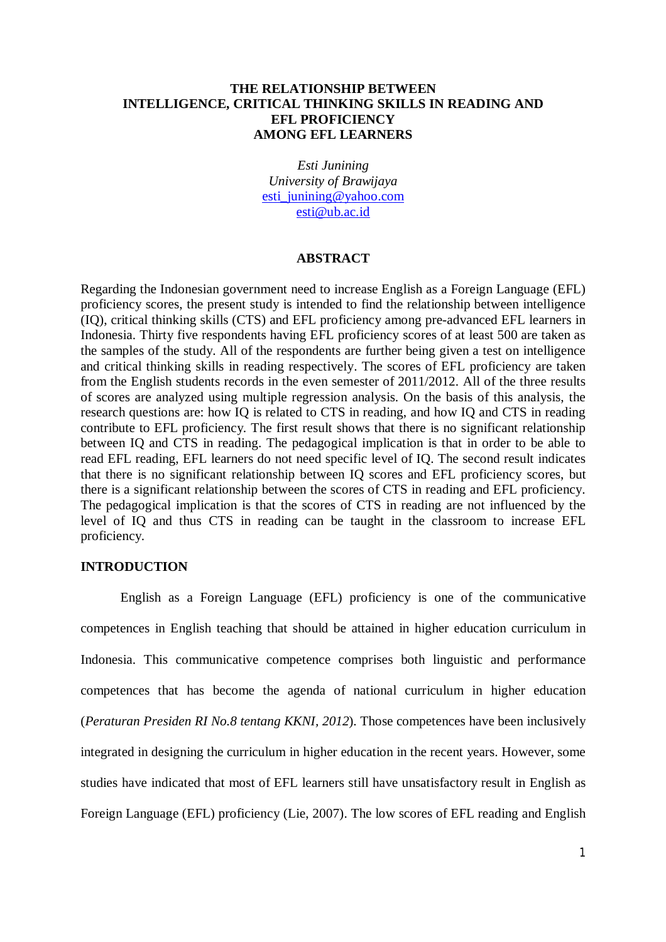# **THE RELATIONSHIP BETWEEN INTELLIGENCE, CRITICAL THINKING SKILLS IN READING AND EFL PROFICIENCY AMONG EFL LEARNERS**

*Esti Junining University of Brawijaya* esti\_junining@yahoo.com esti@ub.ac.id

#### **ABSTRACT**

Regarding the Indonesian government need to increase English as a Foreign Language (EFL) proficiency scores, the present study is intended to find the relationship between intelligence (IQ), critical thinking skills (CTS) and EFL proficiency among pre-advanced EFL learners in Indonesia. Thirty five respondents having EFL proficiency scores of at least 500 are taken as the samples of the study. All of the respondents are further being given a test on intelligence and critical thinking skills in reading respectively. The scores of EFL proficiency are taken from the English students records in the even semester of 2011/2012. All of the three results of scores are analyzed using multiple regression analysis. On the basis of this analysis, the research questions are: how IQ is related to CTS in reading, and how IQ and CTS in reading contribute to EFL proficiency. The first result shows that there is no significant relationship between IQ and CTS in reading. The pedagogical implication is that in order to be able to read EFL reading, EFL learners do not need specific level of IQ. The second result indicates that there is no significant relationship between IQ scores and EFL proficiency scores, but there is a significant relationship between the scores of CTS in reading and EFL proficiency. The pedagogical implication is that the scores of CTS in reading are not influenced by the level of IQ and thus CTS in reading can be taught in the classroom to increase EFL proficiency.

#### **INTRODUCTION**

English as a Foreign Language (EFL) proficiency is one of the communicative competences in English teaching that should be attained in higher education curriculum in Indonesia. This communicative competence comprises both linguistic and performance competences that has become the agenda of national curriculum in higher education (*Peraturan Presiden RI No.8 tentang KKNI, 2012*). Those competences have been inclusively integrated in designing the curriculum in higher education in the recent years. However, some studies have indicated that most of EFL learners still have unsatisfactory result in English as Foreign Language (EFL) proficiency (Lie, 2007). The low scores of EFL reading and English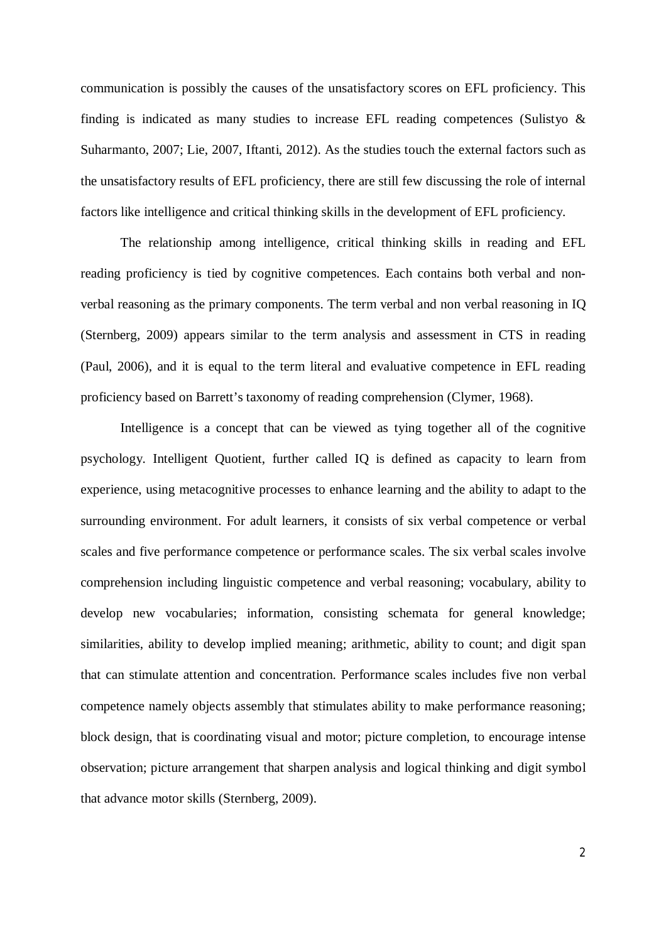communication is possibly the causes of the unsatisfactory scores on EFL proficiency. This finding is indicated as many studies to increase EFL reading competences (Sulistyo & Suharmanto, 2007; Lie, 2007, Iftanti, 2012). As the studies touch the external factors such as the unsatisfactory results of EFL proficiency, there are still few discussing the role of internal factors like intelligence and critical thinking skills in the development of EFL proficiency.

The relationship among intelligence, critical thinking skills in reading and EFL reading proficiency is tied by cognitive competences. Each contains both verbal and nonverbal reasoning as the primary components. The term verbal and non verbal reasoning in IQ (Sternberg, 2009) appears similar to the term analysis and assessment in CTS in reading (Paul, 2006), and it is equal to the term literal and evaluative competence in EFL reading proficiency based on Barrett's taxonomy of reading comprehension (Clymer, 1968).

Intelligence is a concept that can be viewed as tying together all of the cognitive psychology. Intelligent Quotient, further called IQ is defined as capacity to learn from experience, using metacognitive processes to enhance learning and the ability to adapt to the surrounding environment. For adult learners, it consists of six verbal competence or verbal scales and five performance competence or performance scales. The six verbal scales involve comprehension including linguistic competence and verbal reasoning; vocabulary, ability to develop new vocabularies; information, consisting schemata for general knowledge; similarities, ability to develop implied meaning; arithmetic, ability to count; and digit span that can stimulate attention and concentration. Performance scales includes five non verbal competence namely objects assembly that stimulates ability to make performance reasoning; block design, that is coordinating visual and motor; picture completion, to encourage intense observation; picture arrangement that sharpen analysis and logical thinking and digit symbol that advance motor skills (Sternberg, 2009).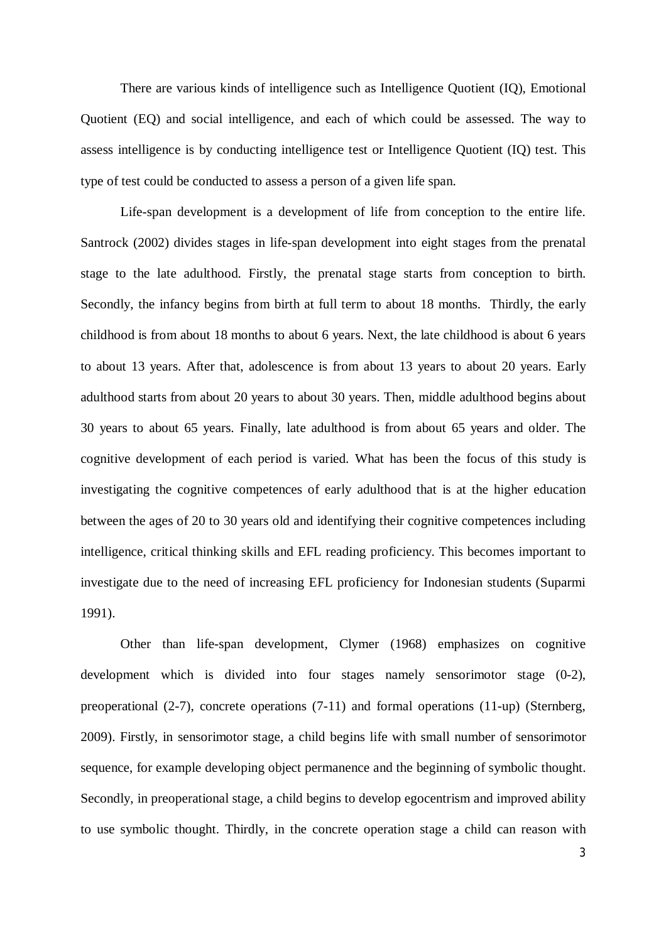There are various kinds of intelligence such as Intelligence Quotient (IQ), Emotional Quotient (EQ) and social intelligence, and each of which could be assessed. The way to assess intelligence is by conducting intelligence test or Intelligence Quotient (IQ) test. This type of test could be conducted to assess a person of a given life span.

Life-span development is a development of life from conception to the entire life. Santrock (2002) divides stages in life-span development into eight stages from the prenatal stage to the late adulthood. Firstly, the prenatal stage starts from conception to birth. Secondly, the infancy begins from birth at full term to about 18 months. Thirdly, the early childhood is from about 18 months to about 6 years. Next, the late childhood is about 6 years to about 13 years. After that, adolescence is from about 13 years to about 20 years. Early adulthood starts from about 20 years to about 30 years. Then, middle adulthood begins about 30 years to about 65 years. Finally, late adulthood is from about 65 years and older. The cognitive development of each period is varied. What has been the focus of this study is investigating the cognitive competences of early adulthood that is at the higher education between the ages of 20 to 30 years old and identifying their cognitive competences including intelligence, critical thinking skills and EFL reading proficiency. This becomes important to investigate due to the need of increasing EFL proficiency for Indonesian students (Suparmi 1991).

Other than life-span development, Clymer (1968) emphasizes on cognitive development which is divided into four stages namely sensorimotor stage (0-2), preoperational (2-7), concrete operations (7-11) and formal operations (11-up) (Sternberg, 2009). Firstly, in sensorimotor stage, a child begins life with small number of sensorimotor sequence, for example developing object permanence and the beginning of symbolic thought. Secondly, in preoperational stage, a child begins to develop egocentrism and improved ability to use symbolic thought. Thirdly, in the concrete operation stage a child can reason with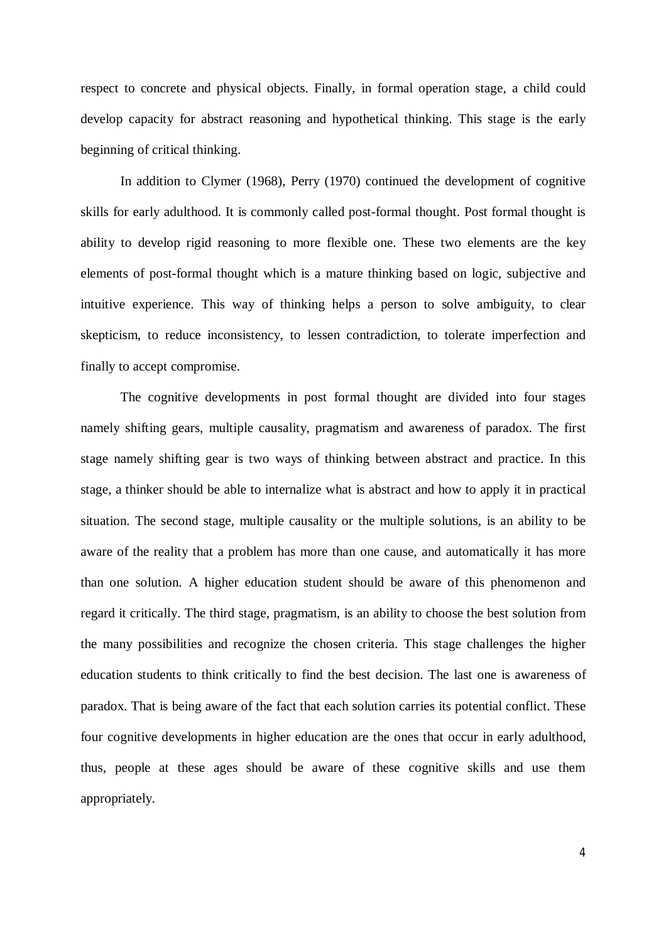respect to concrete and physical objects. Finally, in formal operation stage, a child could develop capacity for abstract reasoning and hypothetical thinking. This stage is the early beginning of critical thinking.

In addition to Clymer (1968), Perry (1970) continued the development of cognitive skills for early adulthood. It is commonly called post-formal thought. Post formal thought is ability to develop rigid reasoning to more flexible one. These two elements are the key elements of post-formal thought which is a mature thinking based on logic, subjective and intuitive experience. This way of thinking helps a person to solve ambiguity, to clear skepticism, to reduce inconsistency, to lessen contradiction, to tolerate imperfection and finally to accept compromise.

The cognitive developments in post formal thought are divided into four stages namely shifting gears, multiple causality, pragmatism and awareness of paradox. The first stage namely shifting gear is two ways of thinking between abstract and practice. In this stage, a thinker should be able to internalize what is abstract and how to apply it in practical situation. The second stage, multiple causality or the multiple solutions, is an ability to be aware of the reality that a problem has more than one cause, and automatically it has more than one solution. A higher education student should be aware of this phenomenon and regard it critically. The third stage, pragmatism, is an ability to choose the best solution from the many possibilities and recognize the chosen criteria. This stage challenges the higher education students to think critically to find the best decision. The last one is awareness of paradox. That is being aware of the fact that each solution carries its potential conflict. These four cognitive developments in higher education are the ones that occur in early adulthood, thus, people at these ages should be aware of these cognitive skills and use them appropriately.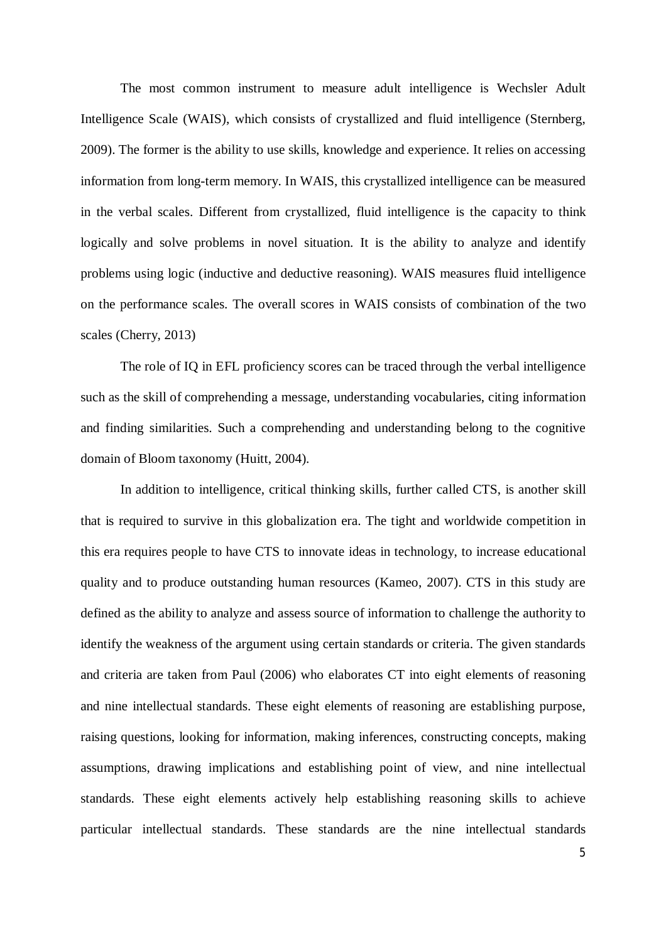The most common instrument to measure adult intelligence is Wechsler Adult Intelligence Scale (WAIS), which consists of crystallized and fluid intelligence (Sternberg, 2009). The former is the ability to use skills, knowledge and experience. It relies on accessing information from long-term memory. In WAIS, this crystallized intelligence can be measured in the verbal scales. Different from crystallized, fluid intelligence is the capacity to think logically and solve problems in novel situation. It is the ability to analyze and identify problems using logic (inductive and deductive reasoning). WAIS measures fluid intelligence on the performance scales. The overall scores in WAIS consists of combination of the two scales (Cherry, 2013)

The role of IQ in EFL proficiency scores can be traced through the verbal intelligence such as the skill of comprehending a message, understanding vocabularies, citing information and finding similarities. Such a comprehending and understanding belong to the cognitive domain of Bloom taxonomy (Huitt, 2004).

In addition to intelligence, critical thinking skills, further called CTS, is another skill that is required to survive in this globalization era. The tight and worldwide competition in this era requires people to have CTS to innovate ideas in technology, to increase educational quality and to produce outstanding human resources (Kameo, 2007). CTS in this study are defined as the ability to analyze and assess source of information to challenge the authority to identify the weakness of the argument using certain standards or criteria. The given standards and criteria are taken from Paul (2006) who elaborates CT into eight elements of reasoning and nine intellectual standards. These eight elements of reasoning are establishing purpose, raising questions, looking for information, making inferences, constructing concepts, making assumptions, drawing implications and establishing point of view, and nine intellectual standards. These eight elements actively help establishing reasoning skills to achieve particular intellectual standards. These standards are the nine intellectual standards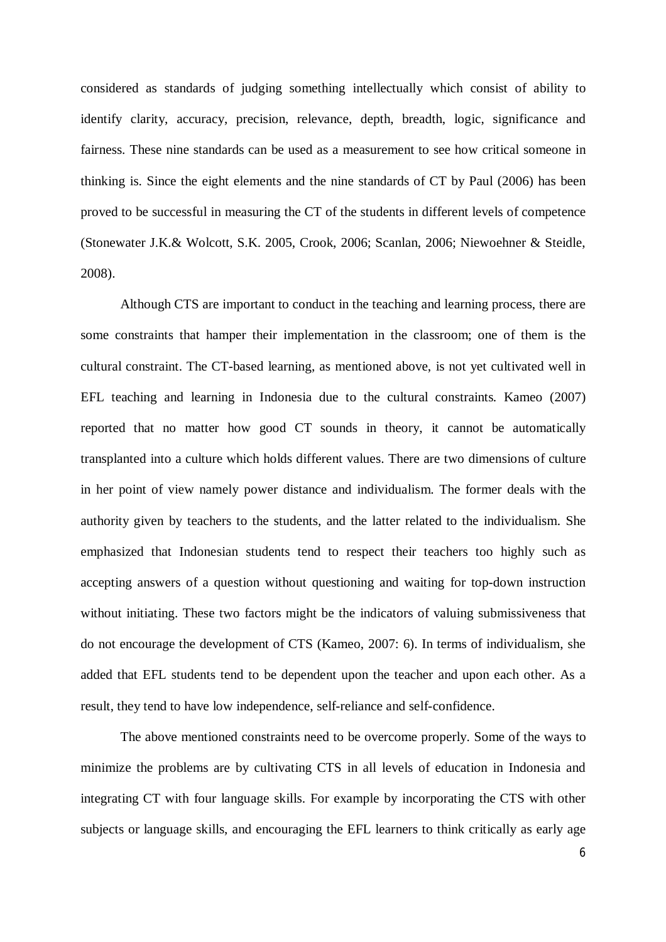considered as standards of judging something intellectually which consist of ability to identify clarity, accuracy, precision, relevance, depth, breadth, logic, significance and fairness. These nine standards can be used as a measurement to see how critical someone in thinking is. Since the eight elements and the nine standards of CT by Paul (2006) has been proved to be successful in measuring the CT of the students in different levels of competence (Stonewater J.K.& Wolcott, S.K. 2005, Crook, 2006; Scanlan, 2006; Niewoehner & Steidle, 2008).

Although CTS are important to conduct in the teaching and learning process, there are some constraints that hamper their implementation in the classroom; one of them is the cultural constraint. The CT-based learning, as mentioned above, is not yet cultivated well in EFL teaching and learning in Indonesia due to the cultural constraints. Kameo (2007) reported that no matter how good CT sounds in theory, it cannot be automatically transplanted into a culture which holds different values. There are two dimensions of culture in her point of view namely power distance and individualism. The former deals with the authority given by teachers to the students, and the latter related to the individualism. She emphasized that Indonesian students tend to respect their teachers too highly such as accepting answers of a question without questioning and waiting for top-down instruction without initiating. These two factors might be the indicators of valuing submissiveness that do not encourage the development of CTS (Kameo, 2007: 6). In terms of individualism, she added that EFL students tend to be dependent upon the teacher and upon each other. As a result, they tend to have low independence, self-reliance and self-confidence.

The above mentioned constraints need to be overcome properly. Some of the ways to minimize the problems are by cultivating CTS in all levels of education in Indonesia and integrating CT with four language skills. For example by incorporating the CTS with other subjects or language skills, and encouraging the EFL learners to think critically as early age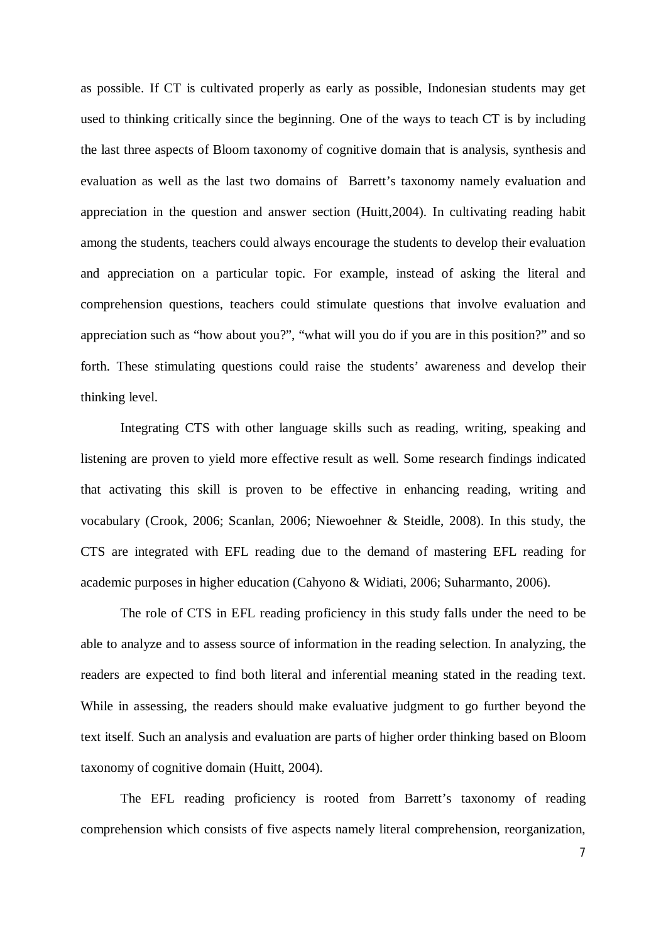as possible. If CT is cultivated properly as early as possible, Indonesian students may get used to thinking critically since the beginning. One of the ways to teach CT is by including the last three aspects of Bloom taxonomy of cognitive domain that is analysis, synthesis and evaluation as well as the last two domains of Barrett's taxonomy namely evaluation and appreciation in the question and answer section (Huitt,2004). In cultivating reading habit among the students, teachers could always encourage the students to develop their evaluation and appreciation on a particular topic. For example, instead of asking the literal and comprehension questions, teachers could stimulate questions that involve evaluation and appreciation such as "how about you?", "what will you do if you are in this position?" and so forth. These stimulating questions could raise the students' awareness and develop their thinking level.

Integrating CTS with other language skills such as reading, writing, speaking and listening are proven to yield more effective result as well. Some research findings indicated that activating this skill is proven to be effective in enhancing reading, writing and vocabulary (Crook, 2006; Scanlan, 2006; Niewoehner & Steidle, 2008). In this study, the CTS are integrated with EFL reading due to the demand of mastering EFL reading for academic purposes in higher education (Cahyono & Widiati, 2006; Suharmanto, 2006).

The role of CTS in EFL reading proficiency in this study falls under the need to be able to analyze and to assess source of information in the reading selection. In analyzing, the readers are expected to find both literal and inferential meaning stated in the reading text. While in assessing, the readers should make evaluative judgment to go further beyond the text itself. Such an analysis and evaluation are parts of higher order thinking based on Bloom taxonomy of cognitive domain (Huitt, 2004).

The EFL reading proficiency is rooted from Barrett's taxonomy of reading comprehension which consists of five aspects namely literal comprehension, reorganization,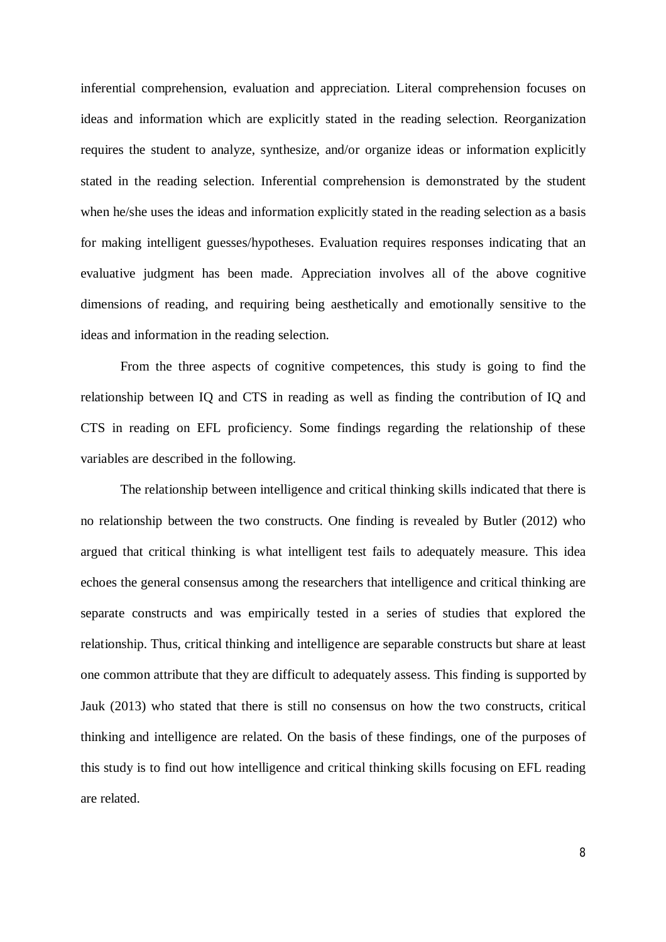inferential comprehension, evaluation and appreciation. Literal comprehension focuses on ideas and information which are explicitly stated in the reading selection. Reorganization requires the student to analyze, synthesize, and/or organize ideas or information explicitly stated in the reading selection. Inferential comprehension is demonstrated by the student when he/she uses the ideas and information explicitly stated in the reading selection as a basis for making intelligent guesses/hypotheses. Evaluation requires responses indicating that an evaluative judgment has been made. Appreciation involves all of the above cognitive dimensions of reading, and requiring being aesthetically and emotionally sensitive to the ideas and information in the reading selection.

From the three aspects of cognitive competences, this study is going to find the relationship between IQ and CTS in reading as well as finding the contribution of IQ and CTS in reading on EFL proficiency. Some findings regarding the relationship of these variables are described in the following.

The relationship between intelligence and critical thinking skills indicated that there is no relationship between the two constructs. One finding is revealed by Butler (2012) who argued that critical thinking is what intelligent test fails to adequately measure. This idea echoes the general consensus among the researchers that intelligence and critical thinking are separate constructs and was empirically tested in a series of studies that explored the relationship. Thus, critical thinking and intelligence are separable constructs but share at least one common attribute that they are difficult to adequately assess. This finding is supported by Jauk (2013) who stated that there is still no consensus on how the two constructs, critical thinking and intelligence are related. On the basis of these findings, one of the purposes of this study is to find out how intelligence and critical thinking skills focusing on EFL reading are related.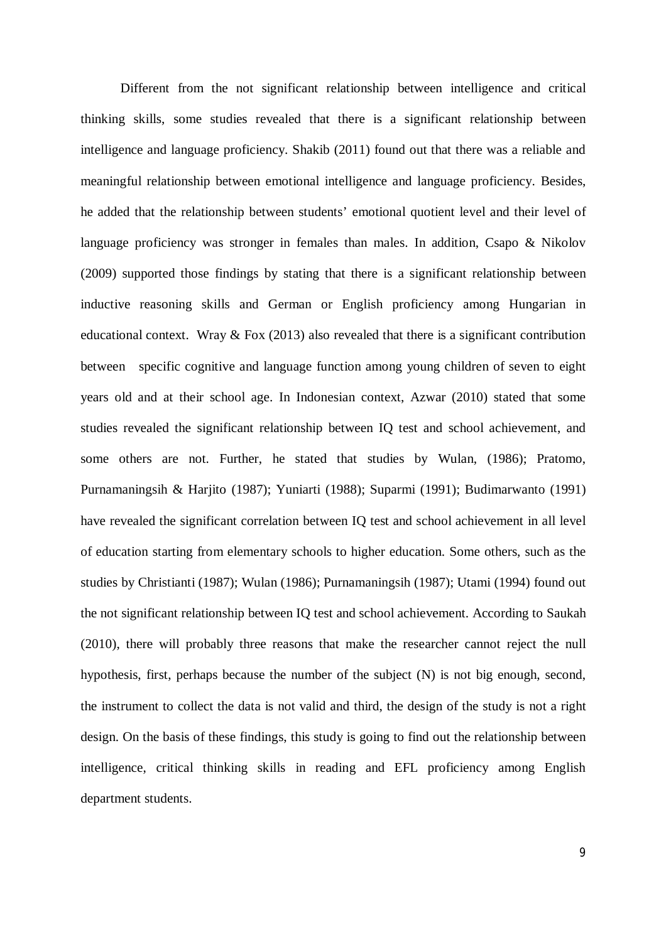Different from the not significant relationship between intelligence and critical thinking skills, some studies revealed that there is a significant relationship between intelligence and language proficiency. Shakib (2011) found out that there was a reliable and meaningful relationship between emotional intelligence and language proficiency. Besides, he added that the relationship between students' emotional quotient level and their level of language proficiency was stronger in females than males. In addition, Csapo & Nikolov (2009) supported those findings by stating that there is a significant relationship between inductive reasoning skills and German or English proficiency among Hungarian in educational context. Wray  $&$  Fox (2013) also revealed that there is a significant contribution between specific cognitive and language function among young children of seven to eight years old and at their school age. In Indonesian context, Azwar (2010) stated that some studies revealed the significant relationship between IQ test and school achievement, and some others are not. Further, he stated that studies by Wulan, (1986); Pratomo, Purnamaningsih & Harjito (1987); Yuniarti (1988); Suparmi (1991); Budimarwanto (1991) have revealed the significant correlation between IQ test and school achievement in all level of education starting from elementary schools to higher education. Some others, such as the studies by Christianti (1987); Wulan (1986); Purnamaningsih (1987); Utami (1994) found out the not significant relationship between IQ test and school achievement. According to Saukah (2010), there will probably three reasons that make the researcher cannot reject the null hypothesis, first, perhaps because the number of the subject (N) is not big enough, second, the instrument to collect the data is not valid and third, the design of the study is not a right design. On the basis of these findings, this study is going to find out the relationship between intelligence, critical thinking skills in reading and EFL proficiency among English department students.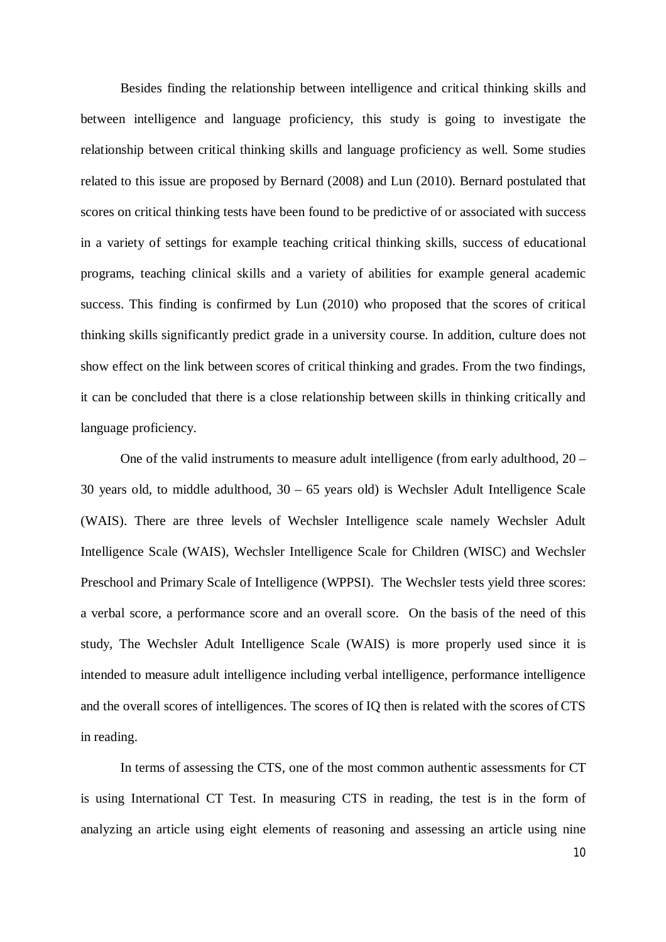Besides finding the relationship between intelligence and critical thinking skills and between intelligence and language proficiency, this study is going to investigate the relationship between critical thinking skills and language proficiency as well. Some studies related to this issue are proposed by Bernard (2008) and Lun (2010). Bernard postulated that scores on critical thinking tests have been found to be predictive of or associated with success in a variety of settings for example teaching critical thinking skills, success of educational programs, teaching clinical skills and a variety of abilities for example general academic success. This finding is confirmed by Lun (2010) who proposed that the scores of critical thinking skills significantly predict grade in a university course. In addition, culture does not show effect on the link between scores of critical thinking and grades. From the two findings, it can be concluded that there is a close relationship between skills in thinking critically and language proficiency.

One of the valid instruments to measure adult intelligence (from early adulthood, 20 – 30 years old, to middle adulthood, 30 – 65 years old) is Wechsler Adult Intelligence Scale (WAIS). There are three levels of Wechsler Intelligence scale namely Wechsler Adult Intelligence Scale (WAIS), Wechsler Intelligence Scale for Children (WISC) and Wechsler Preschool and Primary Scale of Intelligence (WPPSI). The Wechsler tests yield three scores: a verbal score, a performance score and an overall score. On the basis of the need of this study, The Wechsler Adult Intelligence Scale (WAIS) is more properly used since it is intended to measure adult intelligence including verbal intelligence, performance intelligence and the overall scores of intelligences. The scores of IQ then is related with the scores of CTS in reading.

In terms of assessing the CTS, one of the most common authentic assessments for CT is using International CT Test. In measuring CTS in reading, the test is in the form of analyzing an article using eight elements of reasoning and assessing an article using nine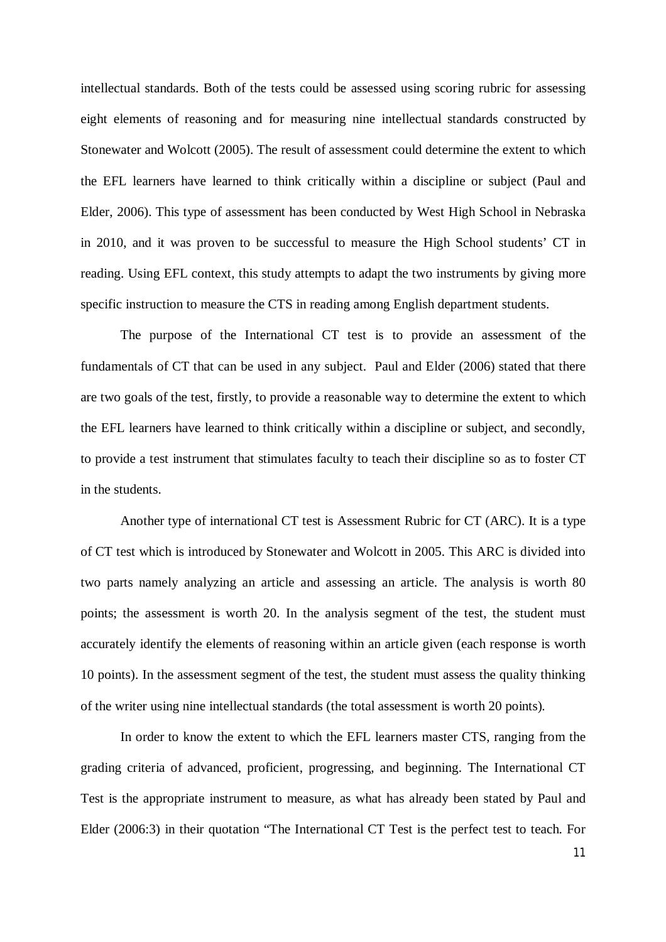intellectual standards. Both of the tests could be assessed using scoring rubric for assessing eight elements of reasoning and for measuring nine intellectual standards constructed by Stonewater and Wolcott (2005). The result of assessment could determine the extent to which the EFL learners have learned to think critically within a discipline or subject (Paul and Elder, 2006). This type of assessment has been conducted by West High School in Nebraska in 2010, and it was proven to be successful to measure the High School students' CT in reading. Using EFL context, this study attempts to adapt the two instruments by giving more specific instruction to measure the CTS in reading among English department students.

The purpose of the International CT test is to provide an assessment of the fundamentals of CT that can be used in any subject. Paul and Elder (2006) stated that there are two goals of the test, firstly, to provide a reasonable way to determine the extent to which the EFL learners have learned to think critically within a discipline or subject, and secondly, to provide a test instrument that stimulates faculty to teach their discipline so as to foster CT in the students.

Another type of international CT test is Assessment Rubric for CT (ARC). It is a type of CT test which is introduced by Stonewater and Wolcott in 2005. This ARC is divided into two parts namely analyzing an article and assessing an article. The analysis is worth 80 points; the assessment is worth 20. In the analysis segment of the test, the student must accurately identify the elements of reasoning within an article given (each response is worth 10 points). In the assessment segment of the test, the student must assess the quality thinking of the writer using nine intellectual standards (the total assessment is worth 20 points).

In order to know the extent to which the EFL learners master CTS, ranging from the grading criteria of advanced, proficient, progressing, and beginning. The International CT Test is the appropriate instrument to measure, as what has already been stated by Paul and Elder (2006:3) in their quotation "The International CT Test is the perfect test to teach. For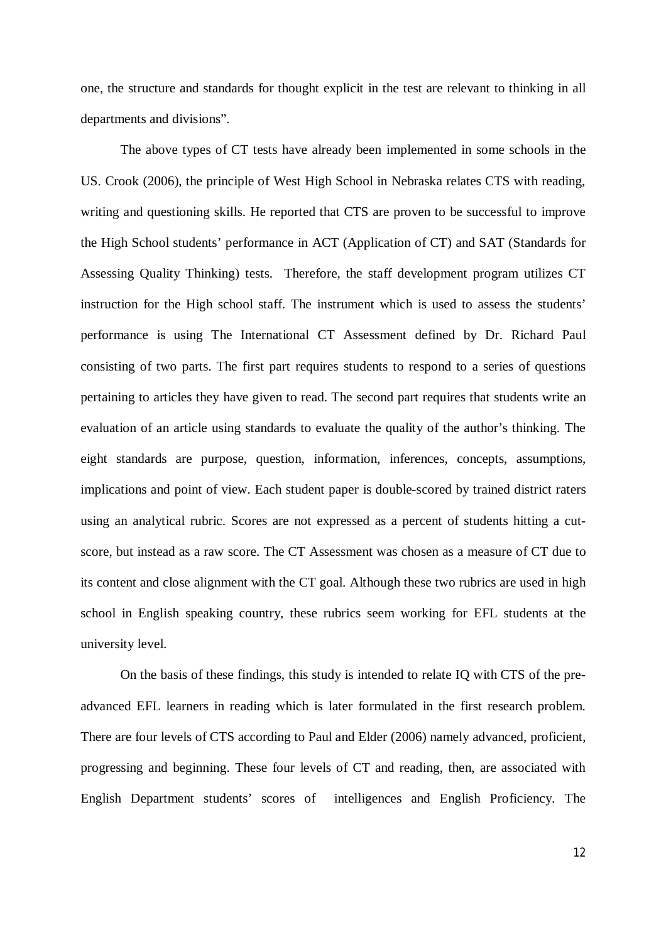one, the structure and standards for thought explicit in the test are relevant to thinking in all departments and divisions".

The above types of CT tests have already been implemented in some schools in the US. Crook (2006), the principle of West High School in Nebraska relates CTS with reading, writing and questioning skills. He reported that CTS are proven to be successful to improve the High School students' performance in ACT (Application of CT) and SAT (Standards for Assessing Quality Thinking) tests. Therefore, the staff development program utilizes CT instruction for the High school staff. The instrument which is used to assess the students' performance is using The International CT Assessment defined by Dr. Richard Paul consisting of two parts. The first part requires students to respond to a series of questions pertaining to articles they have given to read. The second part requires that students write an evaluation of an article using standards to evaluate the quality of the author's thinking. The eight standards are purpose, question, information, inferences, concepts, assumptions, implications and point of view. Each student paper is double-scored by trained district raters using an analytical rubric. Scores are not expressed as a percent of students hitting a cutscore, but instead as a raw score. The CT Assessment was chosen as a measure of CT due to its content and close alignment with the CT goal. Although these two rubrics are used in high school in English speaking country, these rubrics seem working for EFL students at the university level.

On the basis of these findings, this study is intended to relate IQ with CTS of the preadvanced EFL learners in reading which is later formulated in the first research problem. There are four levels of CTS according to Paul and Elder (2006) namely advanced, proficient, progressing and beginning. These four levels of CT and reading, then, are associated with English Department students' scores of intelligences and English Proficiency. The

12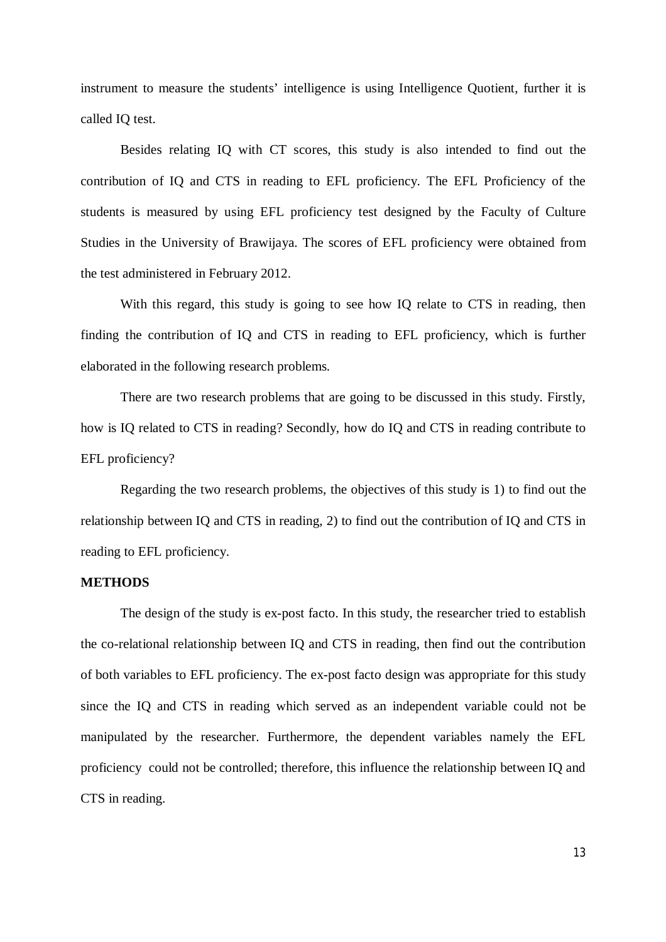instrument to measure the students' intelligence is using Intelligence Quotient, further it is called IQ test.

Besides relating IQ with CT scores, this study is also intended to find out the contribution of IQ and CTS in reading to EFL proficiency. The EFL Proficiency of the students is measured by using EFL proficiency test designed by the Faculty of Culture Studies in the University of Brawijaya. The scores of EFL proficiency were obtained from the test administered in February 2012.

With this regard, this study is going to see how IQ relate to CTS in reading, then finding the contribution of IQ and CTS in reading to EFL proficiency, which is further elaborated in the following research problems.

There are two research problems that are going to be discussed in this study. Firstly, how is IQ related to CTS in reading? Secondly, how do IQ and CTS in reading contribute to EFL proficiency?

Regarding the two research problems, the objectives of this study is 1) to find out the relationship between IQ and CTS in reading, 2) to find out the contribution of IQ and CTS in reading to EFL proficiency.

### **METHODS**

The design of the study is ex-post facto. In this study, the researcher tried to establish the co-relational relationship between IQ and CTS in reading, then find out the contribution of both variables to EFL proficiency. The ex-post facto design was appropriate for this study since the IQ and CTS in reading which served as an independent variable could not be manipulated by the researcher. Furthermore, the dependent variables namely the EFL proficiency could not be controlled; therefore, this influence the relationship between IQ and CTS in reading.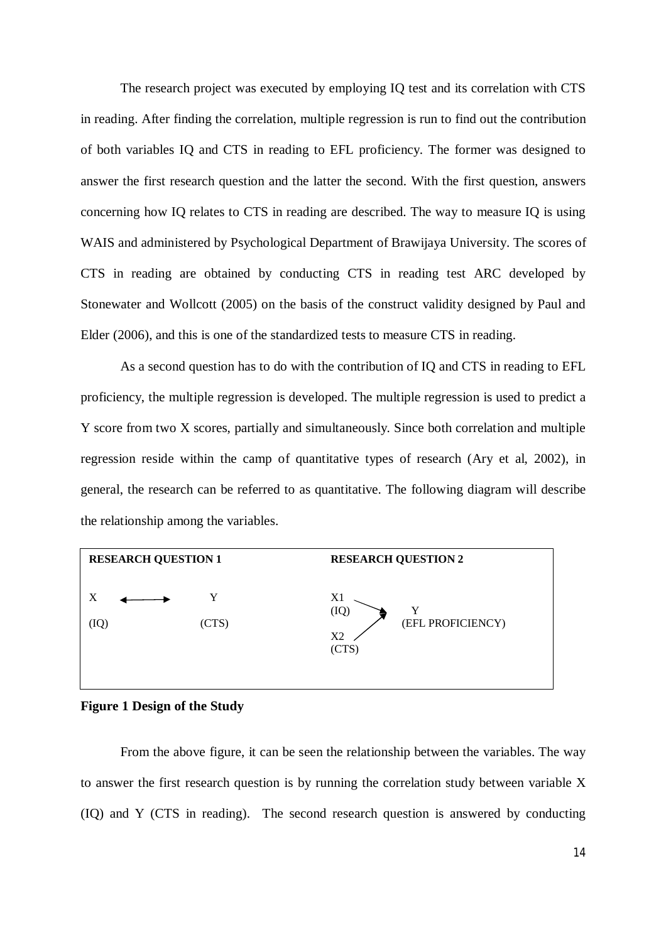The research project was executed by employing IQ test and its correlation with CTS in reading. After finding the correlation, multiple regression is run to find out the contribution of both variables IQ and CTS in reading to EFL proficiency. The former was designed to answer the first research question and the latter the second. With the first question, answers concerning how IQ relates to CTS in reading are described. The way to measure IQ is using WAIS and administered by Psychological Department of Brawijaya University. The scores of CTS in reading are obtained by conducting CTS in reading test ARC developed by Stonewater and Wollcott (2005) on the basis of the construct validity designed by Paul and Elder (2006), and this is one of the standardized tests to measure CTS in reading.

As a second question has to do with the contribution of IQ and CTS in reading to EFL proficiency, the multiple regression is developed. The multiple regression is used to predict a Y score from two X scores, partially and simultaneously. Since both correlation and multiple regression reside within the camp of quantitative types of research (Ary et al, 2002), in general, the research can be referred to as quantitative. The following diagram will describe the relationship among the variables.



**Figure 1 Design of the Study**

From the above figure, it can be seen the relationship between the variables. The way to answer the first research question is by running the correlation study between variable X (IQ) and Y (CTS in reading). The second research question is answered by conducting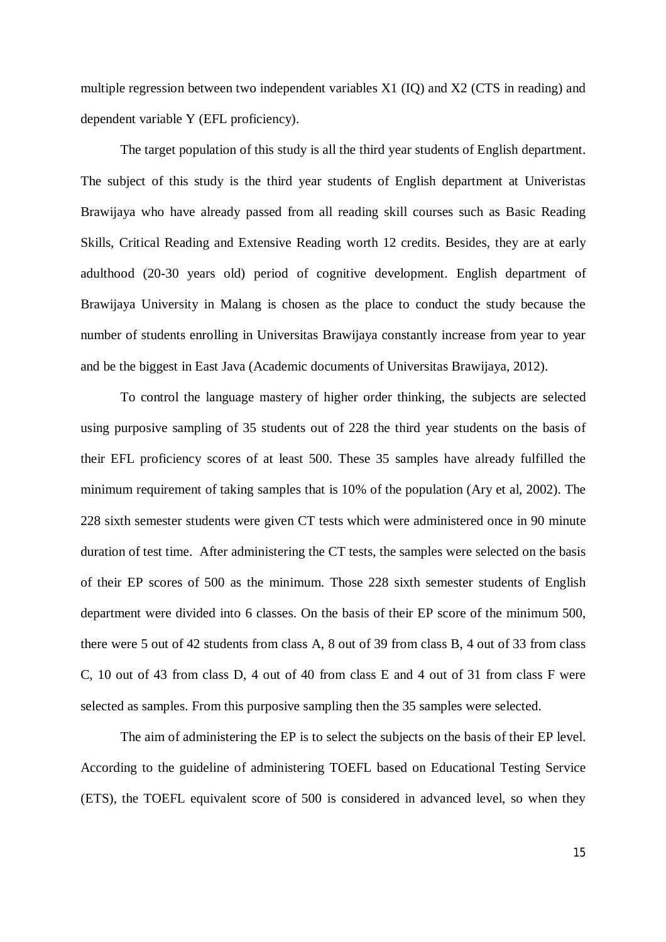multiple regression between two independent variables X1 (IQ) and X2 (CTS in reading) and dependent variable Y (EFL proficiency).

The target population of this study is all the third year students of English department. The subject of this study is the third year students of English department at Univeristas Brawijaya who have already passed from all reading skill courses such as Basic Reading Skills, Critical Reading and Extensive Reading worth 12 credits. Besides, they are at early adulthood (20-30 years old) period of cognitive development. English department of Brawijaya University in Malang is chosen as the place to conduct the study because the number of students enrolling in Universitas Brawijaya constantly increase from year to year and be the biggest in East Java (Academic documents of Universitas Brawijaya, 2012).

To control the language mastery of higher order thinking, the subjects are selected using purposive sampling of 35 students out of 228 the third year students on the basis of their EFL proficiency scores of at least 500. These 35 samples have already fulfilled the minimum requirement of taking samples that is 10% of the population (Ary et al, 2002). The 228 sixth semester students were given CT tests which were administered once in 90 minute duration of test time. After administering the CT tests, the samples were selected on the basis of their EP scores of 500 as the minimum. Those 228 sixth semester students of English department were divided into 6 classes. On the basis of their EP score of the minimum 500, there were 5 out of 42 students from class A, 8 out of 39 from class B, 4 out of 33 from class C, 10 out of 43 from class D, 4 out of 40 from class E and 4 out of 31 from class F were selected as samples. From this purposive sampling then the 35 samples were selected.

The aim of administering the EP is to select the subjects on the basis of their EP level. According to the guideline of administering TOEFL based on Educational Testing Service (ETS), the TOEFL equivalent score of 500 is considered in advanced level, so when they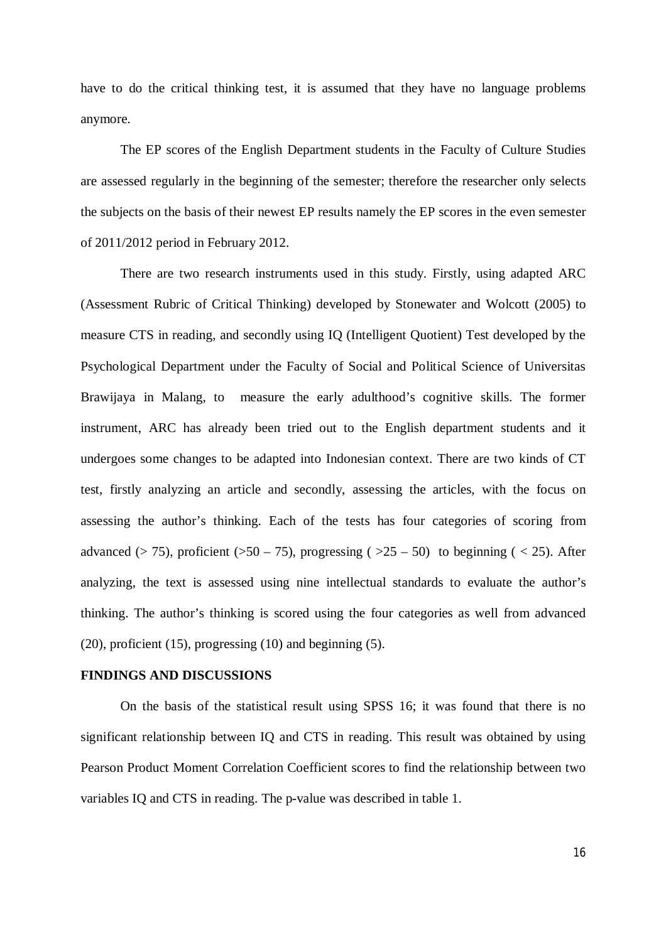have to do the critical thinking test, it is assumed that they have no language problems anymore.

The EP scores of the English Department students in the Faculty of Culture Studies are assessed regularly in the beginning of the semester; therefore the researcher only selects the subjects on the basis of their newest EP results namely the EP scores in the even semester of 2011/2012 period in February 2012.

There are two research instruments used in this study. Firstly, using adapted ARC (Assessment Rubric of Critical Thinking) developed by Stonewater and Wolcott (2005) to measure CTS in reading, and secondly using IQ (Intelligent Quotient) Test developed by the Psychological Department under the Faculty of Social and Political Science of Universitas Brawijaya in Malang, to measure the early adulthood's cognitive skills. The former instrument, ARC has already been tried out to the English department students and it undergoes some changes to be adapted into Indonesian context. There are two kinds of CT test, firstly analyzing an article and secondly, assessing the articles, with the focus on assessing the author's thinking. Each of the tests has four categories of scoring from advanced ( $> 75$ ), proficient ( $> 50 - 75$ ), progressing ( $> 25 - 50$ ) to beginning ( $< 25$ ). After analyzing, the text is assessed using nine intellectual standards to evaluate the author's thinking. The author's thinking is scored using the four categories as well from advanced (20), proficient (15), progressing (10) and beginning (5).

#### **FINDINGS AND DISCUSSIONS**

On the basis of the statistical result using SPSS 16; it was found that there is no significant relationship between IQ and CTS in reading. This result was obtained by using Pearson Product Moment Correlation Coefficient scores to find the relationship between two variables IQ and CTS in reading. The p-value was described in table 1.

16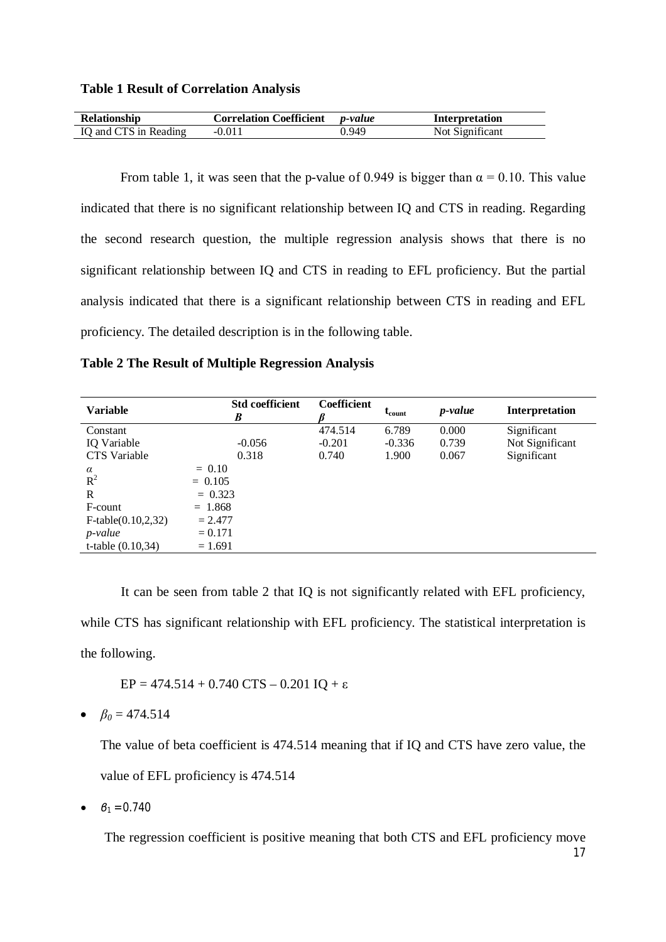| <b>Relationship</b>   | <b>Correlation Coefficient</b> <i>p-value</i> |       | Interpretation  |
|-----------------------|-----------------------------------------------|-------|-----------------|
| IQ and CTS in Reading | $-0.011$                                      | 0.949 | Not Significant |

From table 1, it was seen that the p-value of 0.949 is bigger than  $\alpha = 0.10$ . This value indicated that there is no significant relationship between IQ and CTS in reading. Regarding the second research question, the multiple regression analysis shows that there is no significant relationship between IQ and CTS in reading to EFL proficiency. But the partial analysis indicated that there is a significant relationship between CTS in reading and EFL proficiency. The detailed description is in the following table.

| <b>Variable</b>        | <b>Std coefficient</b><br>B | <b>Coefficient</b> | $t_{\text{count}}$ | <i>p</i> -value | <b>Interpretation</b> |
|------------------------|-----------------------------|--------------------|--------------------|-----------------|-----------------------|
| Constant               |                             | 474.514            | 6.789              | 0.000           | Significant           |
| IQ Variable            | $-0.056$                    | $-0.201$           | $-0.336$           | 0.739           | Not Significant       |
| <b>CTS</b> Variable    | 0.318                       | 0.740              | 1.900              | 0.067           | Significant           |
| $\alpha$               | $= 0.10$                    |                    |                    |                 |                       |
| $R^2$                  | $= 0.105$                   |                    |                    |                 |                       |
| R                      | $= 0.323$                   |                    |                    |                 |                       |
| F-count                | $= 1.868$                   |                    |                    |                 |                       |
| $F-table(0.10, 2, 32)$ | $= 2.477$                   |                    |                    |                 |                       |
| $p$ -value             | $= 0.171$                   |                    |                    |                 |                       |
| t-table $(0.10, 34)$   | $= 1.691$                   |                    |                    |                 |                       |

It can be seen from table 2 that IQ is not significantly related with EFL proficiency, while CTS has significant relationship with EFL proficiency. The statistical interpretation is the following.

EP =  $474.514 + 0.740$  CTS – 0.201 IQ +  $\varepsilon$ 

 $\bullet$   $\beta_0 = 474.514$ 

The value of beta coefficient is 474.514 meaning that if IQ and CTS have zero value, the value of EFL proficiency is 474.514

 $\beta_1 = 0.740$ 

The regression coefficient is positive meaning that both CTS and EFL proficiency move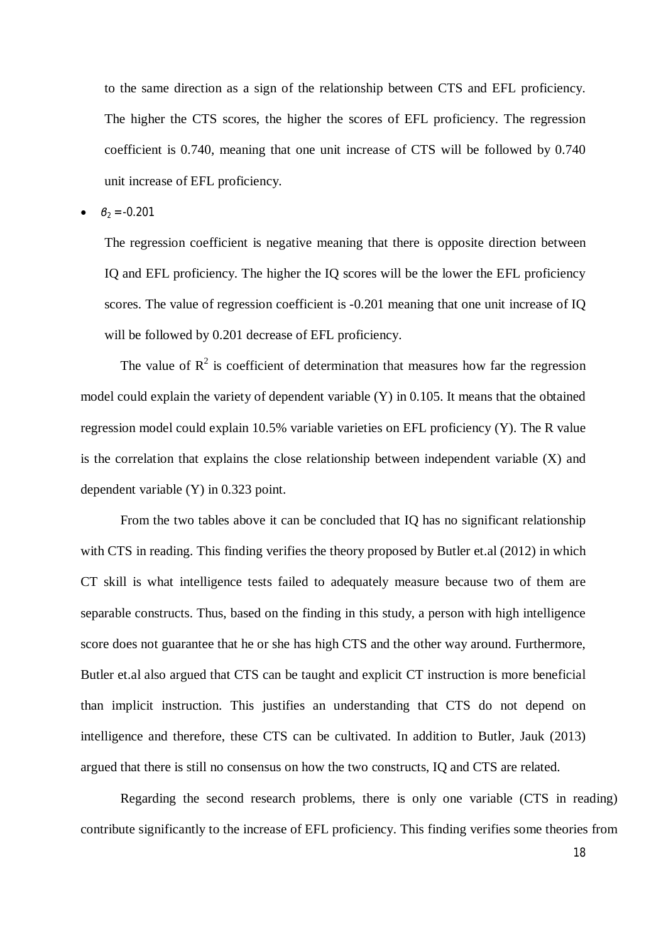to the same direction as a sign of the relationship between CTS and EFL proficiency. The higher the CTS scores, the higher the scores of EFL proficiency. The regression coefficient is 0.740, meaning that one unit increase of CTS will be followed by 0.740 unit increase of EFL proficiency.

*β<sup>2</sup>* = -0.201

The regression coefficient is negative meaning that there is opposite direction between IQ and EFL proficiency. The higher the IQ scores will be the lower the EFL proficiency scores. The value of regression coefficient is -0.201 meaning that one unit increase of IQ will be followed by 0.201 decrease of EFL proficiency.

The value of  $\mathbb{R}^2$  is coefficient of determination that measures how far the regression model could explain the variety of dependent variable (Y) in 0.105. It means that the obtained regression model could explain 10.5% variable varieties on EFL proficiency (Y). The R value is the correlation that explains the close relationship between independent variable (X) and dependent variable (Y) in 0.323 point.

From the two tables above it can be concluded that IQ has no significant relationship with CTS in reading. This finding verifies the theory proposed by Butler et.al (2012) in which CT skill is what intelligence tests failed to adequately measure because two of them are separable constructs. Thus, based on the finding in this study, a person with high intelligence score does not guarantee that he or she has high CTS and the other way around. Furthermore, Butler et.al also argued that CTS can be taught and explicit CT instruction is more beneficial than implicit instruction. This justifies an understanding that CTS do not depend on intelligence and therefore, these CTS can be cultivated. In addition to Butler, Jauk (2013) argued that there is still no consensus on how the two constructs, IQ and CTS are related.

Regarding the second research problems, there is only one variable (CTS in reading) contribute significantly to the increase of EFL proficiency. This finding verifies some theories from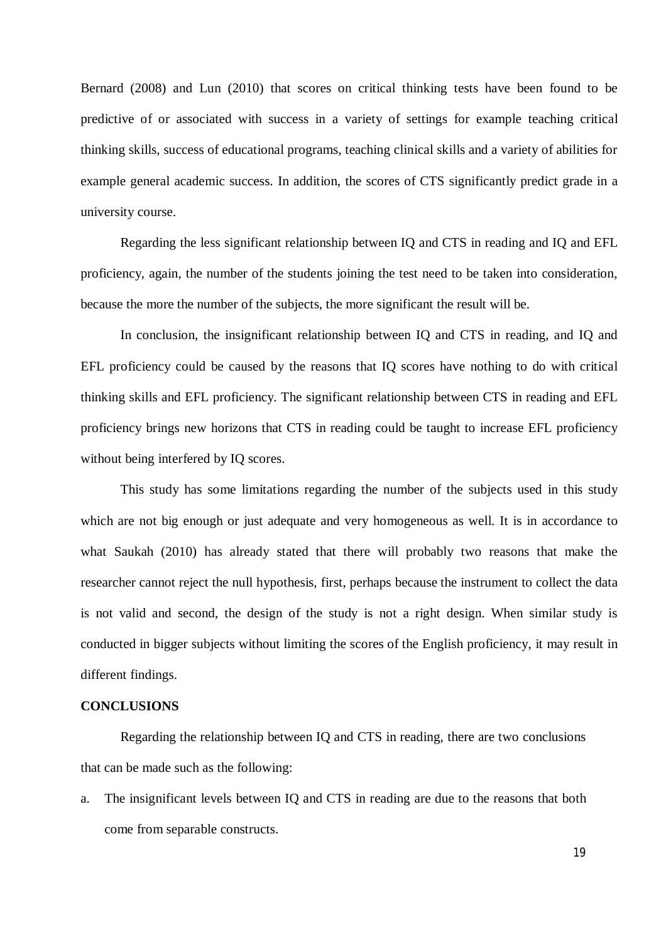Bernard (2008) and Lun (2010) that scores on critical thinking tests have been found to be predictive of or associated with success in a variety of settings for example teaching critical thinking skills, success of educational programs, teaching clinical skills and a variety of abilities for example general academic success. In addition, the scores of CTS significantly predict grade in a university course.

Regarding the less significant relationship between IQ and CTS in reading and IQ and EFL proficiency, again, the number of the students joining the test need to be taken into consideration, because the more the number of the subjects, the more significant the result will be.

In conclusion, the insignificant relationship between IQ and CTS in reading, and IQ and EFL proficiency could be caused by the reasons that IQ scores have nothing to do with critical thinking skills and EFL proficiency. The significant relationship between CTS in reading and EFL proficiency brings new horizons that CTS in reading could be taught to increase EFL proficiency without being interfered by IQ scores.

This study has some limitations regarding the number of the subjects used in this study which are not big enough or just adequate and very homogeneous as well. It is in accordance to what Saukah (2010) has already stated that there will probably two reasons that make the researcher cannot reject the null hypothesis, first, perhaps because the instrument to collect the data is not valid and second, the design of the study is not a right design. When similar study is conducted in bigger subjects without limiting the scores of the English proficiency, it may result in different findings.

### **CONCLUSIONS**

Regarding the relationship between IQ and CTS in reading, there are two conclusions that can be made such as the following:

a. The insignificant levels between IQ and CTS in reading are due to the reasons that both come from separable constructs.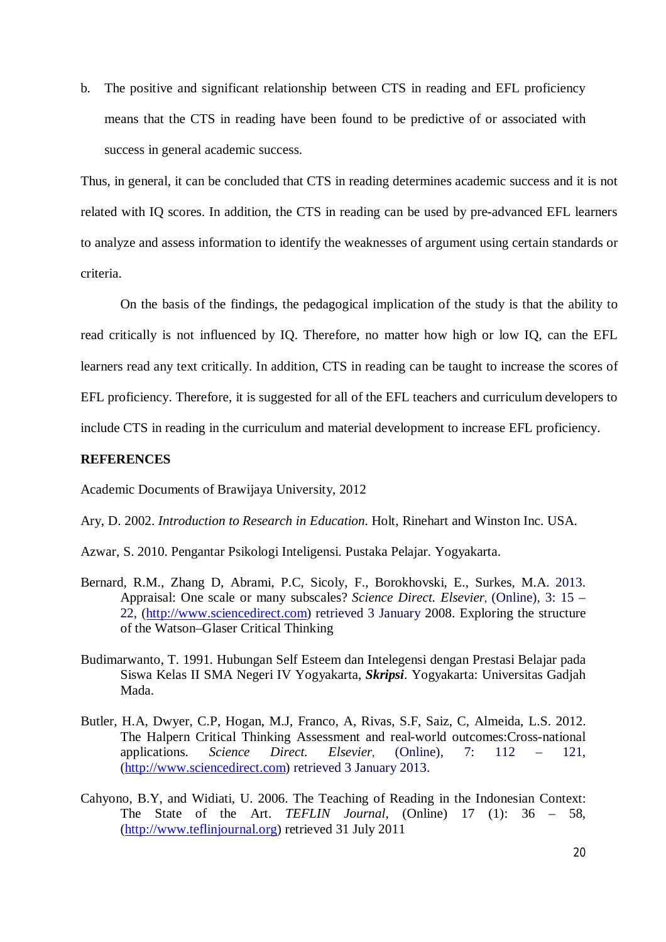b. The positive and significant relationship between CTS in reading and EFL proficiency means that the CTS in reading have been found to be predictive of or associated with success in general academic success.

Thus, in general, it can be concluded that CTS in reading determines academic success and it is not related with IQ scores. In addition, the CTS in reading can be used by pre-advanced EFL learners to analyze and assess information to identify the weaknesses of argument using certain standards or criteria.

On the basis of the findings, the pedagogical implication of the study is that the ability to read critically is not influenced by IQ. Therefore, no matter how high or low IQ, can the EFL learners read any text critically. In addition, CTS in reading can be taught to increase the scores of EFL proficiency. Therefore, it is suggested for all of the EFL teachers and curriculum developers to include CTS in reading in the curriculum and material development to increase EFL proficiency.

# **REFERENCES**

Academic Documents of Brawijaya University, 2012

Ary, D. 2002. *Introduction to Research in Education*. Holt, Rinehart and Winston Inc. USA.

- Azwar, S. 2010. Pengantar Psikologi Inteligensi. Pustaka Pelajar. Yogyakarta.
- Bernard, R.M., Zhang D, Abrami, P.C, Sicoly, F., Borokhovski, E., Surkes, M.A. 2013. Appraisal: One scale or many subscales? *Science Direct. Elsevier*, (Online), 3: 15 – 22, (http://www.sciencedirect.com) retrieved 3 January 2008. Exploring the structure of the Watson–Glaser Critical Thinking
- Budimarwanto, T. 1991. Hubungan Self Esteem dan Intelegensi dengan Prestasi Belajar pada Siswa Kelas II SMA Negeri IV Yogyakarta, *Skripsi*. Yogyakarta: Universitas Gadjah Mada.
- Butler, H.A, Dwyer, C.P, Hogan, M.J, Franco, A, Rivas, S.F, Saiz, C, Almeida, L.S. 2012. The Halpern Critical Thinking Assessment and real-world outcomes:Cross-national applications. *Science Direct. Elsevier*, (Online), 7: 112 – 121, (http://www.sciencedirect.com) retrieved 3 January 2013.
- Cahyono, B.Y, and Widiati, U. 2006. The Teaching of Reading in the Indonesian Context: The State of the Art. *TEFLIN Journal*, (Online) 17 (1): 36 – 58, (http://www.teflinjournal.org) retrieved 31 July 2011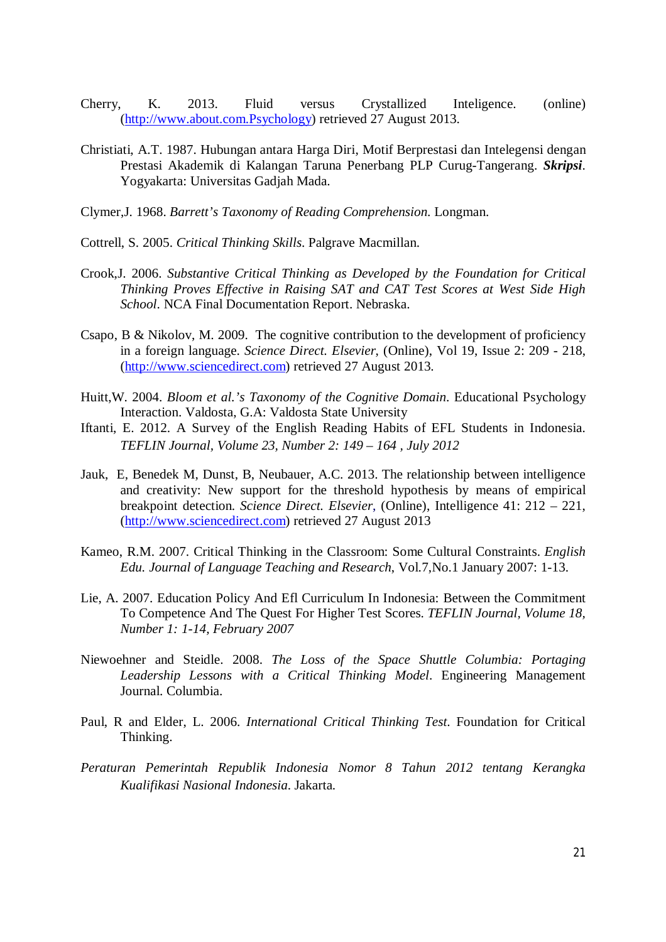- Cherry, K. 2013. Fluid versus Crystallized Inteligence. (online) (http://www.about.com.Psychology) retrieved 27 August 2013.
- Christiati, A.T. 1987. Hubungan antara Harga Diri, Motif Berprestasi dan Intelegensi dengan Prestasi Akademik di Kalangan Taruna Penerbang PLP Curug-Tangerang. *Skripsi*. Yogyakarta: Universitas Gadjah Mada.
- Clymer,J. 1968. *Barrett's Taxonomy of Reading Comprehension*. Longman.
- Cottrell, S. 2005. *Critical Thinking Skills*. Palgrave Macmillan.
- Crook,J. 2006. *Substantive Critical Thinking as Developed by the Foundation for Critical Thinking Proves Effective in Raising SAT and CAT Test Scores at West Side High School*. NCA Final Documentation Report. Nebraska.
- Csapo, B & Nikolov, M. 2009. The cognitive contribution to the development of proficiency in a foreign language. *Science Direct. Elsevier*, (Online), Vol 19, Issue 2: 209 - 218, (http://www.sciencedirect.com) retrieved 27 August 2013.
- Huitt,W. 2004. *Bloom et al.'s Taxonomy of the Cognitive Domain*. Educational Psychology Interaction. Valdosta, G.A: Valdosta State University
- Iftanti, E. 2012. A Survey of the English Reading Habits of EFL Students in Indonesia. *TEFLIN Journal, Volume 23, Number 2: 149 – 164 , July 2012*
- Jauk, E, Benedek M, Dunst, B, Neubauer, A.C. 2013. The relationship between intelligence and creativity: New support for the threshold hypothesis by means of empirical breakpoint detection. *Science Direct. Elsevier*, (Online), Intelligence 41: 212 – 221, (http://www.sciencedirect.com) retrieved 27 August 2013
- Kameo, R.M. 2007. Critical Thinking in the Classroom: Some Cultural Constraints. *English Edu. Journal of Language Teaching and Research*, Vol.7,No.1 January 2007: 1-13.
- Lie, A. 2007. Education Policy And Efl Curriculum In Indonesia: Between the Commitment To Competence And The Quest For Higher Test Scores. *TEFLIN Journal, Volume 18, Number 1: 1-14, February 2007*
- Niewoehner and Steidle. 2008. *The Loss of the Space Shuttle Columbia: Portaging Leadership Lessons with a Critical Thinking Model*. Engineering Management Journal. Columbia.
- Paul, R and Elder, L. 2006. *International Critical Thinking Test*. Foundation for Critical Thinking.
- *Peraturan Pemerintah Republik Indonesia Nomor 8 Tahun 2012 tentang Kerangka Kualifikasi Nasional Indonesia*. Jakarta.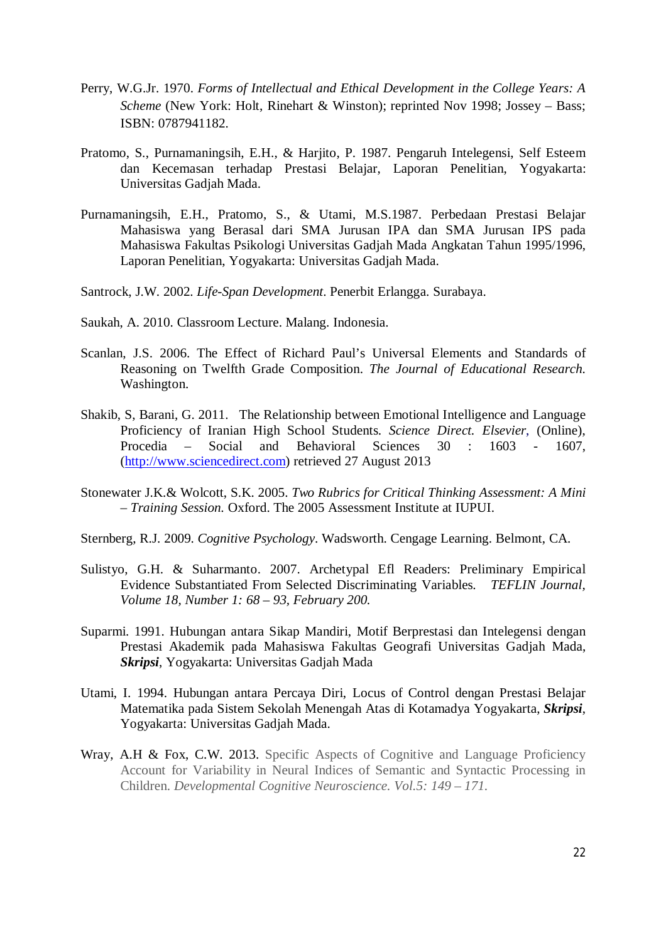- Perry, W.G.Jr. 1970. *Forms of Intellectual and Ethical Development in the College Years: A Scheme* (New York: Holt, Rinehart & Winston); reprinted Nov 1998; Jossey – Bass; ISBN: 0787941182.
- Pratomo, S., Purnamaningsih, E.H., & Harjito, P. 1987. Pengaruh Intelegensi, Self Esteem dan Kecemasan terhadap Prestasi Belajar, Laporan Penelitian, Yogyakarta: Universitas Gadjah Mada.
- Purnamaningsih, E.H., Pratomo, S., & Utami, M.S.1987. Perbedaan Prestasi Belajar Mahasiswa yang Berasal dari SMA Jurusan IPA dan SMA Jurusan IPS pada Mahasiswa Fakultas Psikologi Universitas Gadjah Mada Angkatan Tahun 1995/1996, Laporan Penelitian, Yogyakarta: Universitas Gadjah Mada.
- Santrock, J.W. 2002. *Life-Span Development*. Penerbit Erlangga. Surabaya.
- Saukah, A. 2010. Classroom Lecture. Malang. Indonesia.
- Scanlan, J.S. 2006. The Effect of Richard Paul's Universal Elements and Standards of Reasoning on Twelfth Grade Composition. *The Journal of Educational Research.* Washington.
- Shakib, S, Barani, G. 2011. The Relationship between Emotional Intelligence and Language Proficiency of Iranian High School Students. *Science Direct. Elsevier*, (Online), Procedia – Social and Behavioral Sciences 30 : 1603 - 1607, (http://www.sciencedirect.com) retrieved 27 August 2013
- Stonewater J.K.& Wolcott, S.K. 2005. *Two Rubrics for Critical Thinking Assessment: A Mini – Training Session.* Oxford. The 2005 Assessment Institute at IUPUI.
- Sternberg, R.J. 2009. *Cognitive Psychology*. Wadsworth. Cengage Learning. Belmont, CA.
- Sulistyo, G.H. & Suharmanto. 2007. Archetypal Efl Readers: Preliminary Empirical Evidence Substantiated From Selected Discriminating Variables. *TEFLIN Journal, Volume 18, Number 1: 68 – 93, February 200.*
- Suparmi. 1991. Hubungan antara Sikap Mandiri, Motif Berprestasi dan Intelegensi dengan Prestasi Akademik pada Mahasiswa Fakultas Geografi Universitas Gadjah Mada, *Skripsi*, Yogyakarta: Universitas Gadjah Mada
- Utami, I. 1994. Hubungan antara Percaya Diri, Locus of Control dengan Prestasi Belajar Matematika pada Sistem Sekolah Menengah Atas di Kotamadya Yogyakarta, *Skripsi*, Yogyakarta: Universitas Gadjah Mada.
- Wray, A.H & Fox, C.W. 2013. Specific Aspects of Cognitive and Language Proficiency Account for Variability in Neural Indices of Semantic and Syntactic Processing in Children. *Developmental Cognitive Neuroscience. Vol.5: 149 – 171.*